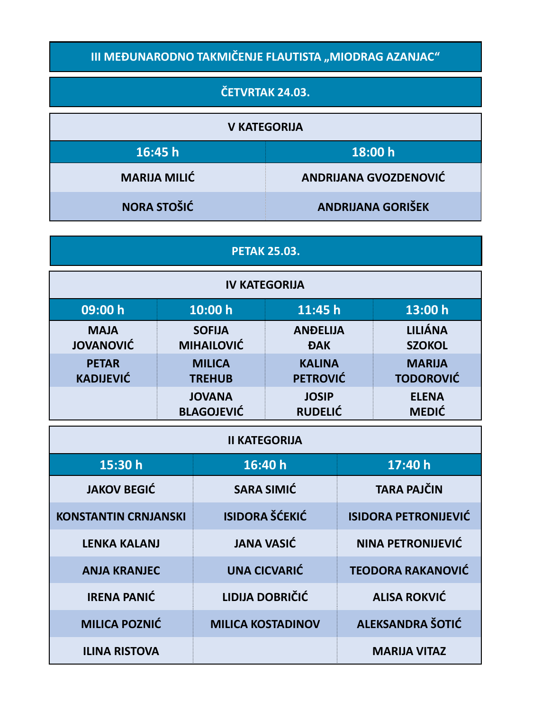## **III MEĐUNARODNO TAKMIČENJE FLAUTISTA "MIODRAG AZANJAC"**

## **ČETVRTAK 24.03.**

| <b>V KATEGORIJA</b> |                              |  |
|---------------------|------------------------------|--|
| 16:45 h             | 18:00 h                      |  |
| <b>MARIJA MILIĆ</b> | <b>ANDRIJANA GVOZDENOVIĆ</b> |  |
| NORA STOŠIĆ         | <b>ANDRIJANA GORIŠEK</b>     |  |

## **PETAK 25.03.**

| <b>IV KATEGORIJA</b> |                   |                 |                  |
|----------------------|-------------------|-----------------|------------------|
| 09:00 h              | 10:00 h           | 11:45h          | 13:00 h          |
| <b>MAJA</b>          | <b>SOFIJA</b>     | <b>ANDELIJA</b> | <b>LILIÁNA</b>   |
| <b>JOVANOVIĆ</b>     | <b>MIHAILOVIĆ</b> | <b>ĐAK</b>      | <b>SZOKOL</b>    |
| <b>PETAR</b>         | <b>MILICA</b>     | <b>KALINA</b>   | <b>MARIJA</b>    |
| <b>KADIJEVIĆ</b>     | <b>TREHUB</b>     | <b>PETROVIĆ</b> | <b>TODOROVIĆ</b> |
|                      | <b>JOVANA</b>     | <b>JOSIP</b>    | <b>ELENA</b>     |
|                      | <b>BLAGOJEVIĆ</b> | <b>RUDELIĆ</b>  | <b>MEDIĆ</b>     |

| <b>II KATEGORIJA</b>        |                          |                             |  |
|-----------------------------|--------------------------|-----------------------------|--|
| 15:30 h                     | 16:40 h                  | 17:40h                      |  |
| <b>JAKOV BEGIĆ</b>          | <b>SARA SIMIĆ</b>        | <b>TARA PAJČIN</b>          |  |
| <b>KONSTANTIN CRNJANSKI</b> | <b>ISIDORA ŠĆEKIĆ</b>    | <b>ISIDORA PETRONIJEVIĆ</b> |  |
| <b>LENKA KALANJ</b>         | <b>JANA VASIĆ</b>        | NINA PETRONIJEVIĆ           |  |
| <b>ANJA KRANJEC</b>         | <b>UNA CICVARIĆ</b>      | <b>TEODORA RAKANOVIĆ</b>    |  |
| <b>IRENA PANIĆ</b>          | LIDIJA DOBRIČIĆ          | <b>ALISA ROKVIĆ</b>         |  |
| <b>MILICA POZNIĆ</b>        | <b>MILICA KOSTADINOV</b> | <b>ALEKSANDRA ŠOTIĆ</b>     |  |
| <b>ILINA RISTOVA</b>        |                          | <b>MARIJA VITAZ</b>         |  |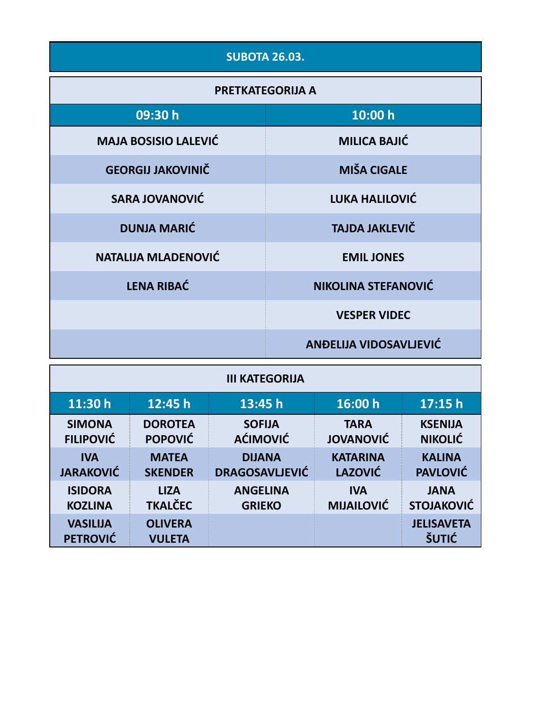| <b>SUBOTA 26.03.</b>        |                               |  |  |
|-----------------------------|-------------------------------|--|--|
| <b>PRETKATEGORIJA A</b>     |                               |  |  |
| 09:30 h                     | 10:00 h                       |  |  |
| <b>MAJA BOSISIO LALEVIĆ</b> | <b>MILICA BAJIĆ</b>           |  |  |
| <b>GEORGIJ JAKOVINIČ</b>    | <b>MIŠA CIGALE</b>            |  |  |
| <b>SARA JOVANOVIĆ</b>       | LUKA HALILOVIĆ                |  |  |
| <b>DUNJA MARIĆ</b>          | <b>TAJDA JAKLEVIČ</b>         |  |  |
| <b>NATALIJA MLADENOVIĆ</b>  | <b>EMIL JONES</b>             |  |  |
| <b>LENA RIBAĆ</b>           | <b>NIKOLINA STEFANOVIĆ</b>    |  |  |
|                             | <b>VESPER VIDEC</b>           |  |  |
|                             | <b>ANDELIJA VIDOSAVLJEVIĆ</b> |  |  |

| <b>III KATEGORIJA</b>              |                                 |                       |                   |                                   |
|------------------------------------|---------------------------------|-----------------------|-------------------|-----------------------------------|
| 11:30 h                            | 12:45h                          | 13:45 h               | 16:00 h           | 17:15h                            |
| <b>SIMONA</b>                      | <b>DOROTEA</b>                  | <b>SOFIJA</b>         | <b>TARA</b>       | <b>KSENIJA</b>                    |
| <b>FILIPOVIĆ</b>                   | <b>POPOVIĆ</b>                  | <b>AĆIMOVIĆ</b>       | <b>JOVANOVIĆ</b>  | <b>NIKOLIĆ</b>                    |
| <b>IVA</b>                         | <b>MATEA</b>                    | <b>DIJANA</b>         | <b>KATARINA</b>   | <b>KALINA</b>                     |
| <b>JARAKOVIĆ</b>                   | <b>SKENDER</b>                  | <b>DRAGOSAVLJEVIĆ</b> | <b>LAZOVIĆ</b>    | <b>PAVLOVIĆ</b>                   |
| <b>ISIDORA</b>                     | <b>LIZA</b>                     | <b>ANGELINA</b>       | <b>IVA</b>        | <b>JANA</b>                       |
| <b>KOZLINA</b>                     | <b>TKALČEC</b>                  | <b>GRIEKO</b>         | <b>MIJAILOVIĆ</b> | <b>STOJAKOVIĆ</b>                 |
| <b>VASILIJA</b><br><b>PETROVIĆ</b> | <b>OLIVERA</b><br><b>VULETA</b> |                       |                   | <b>JELISAVETA</b><br><b>ŠUTIĆ</b> |